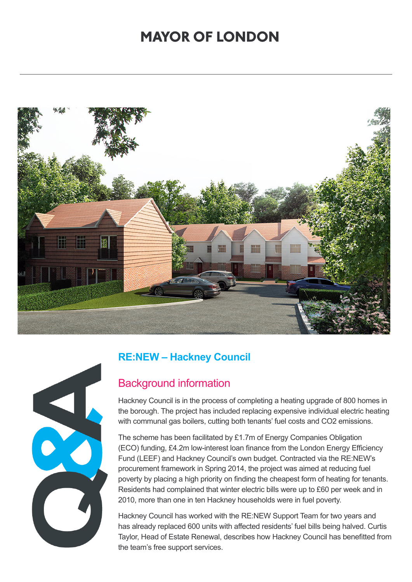## **MAYOR OF LONDON**





### **RE:NEW – Hackney Council**

### Background information

Hackney Council is in the process of completing a heating upgrade of 800 homes in the borough. The project has included replacing expensive individual electric heating with communal gas boilers, cutting both tenants' fuel costs and CO2 emissions.

The scheme has been facilitated by £1.7m of Energy Companies Obligation (ECO) funding, £4.2m low-interest loan finance from the London Energy Efficiency Fund (LEEF) and Hackney Council's own budget. Contracted via the RE:NEW's procurement framework in Spring 2014, the project was aimed at reducing fuel poverty by placing a high priority on finding the cheapest form of heating for tenants. Residents had complained that winter electric bills were up to £60 per week and in 2010, more than one in ten Hackney households were in fuel poverty.

Hackney Council has worked with the RE:NEW Support Team for two years and has already replaced 600 units with affected residents' fuel bills being halved. Curtis Taylor, Head of Estate Renewal, describes how Hackney Council has benefitted from the team's free support services.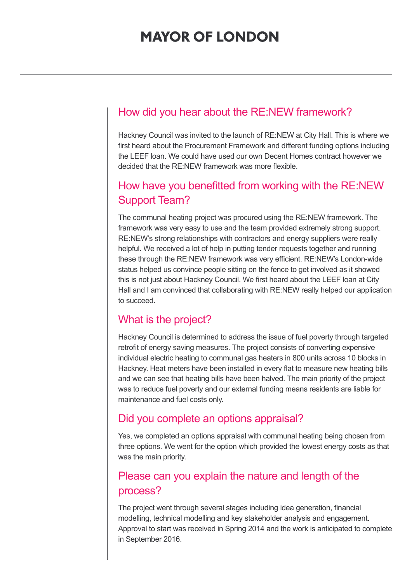### How did you hear about the RE:NEW framework?

Hackney Council was invited to the launch of RE:NEW at City Hall. This is where we first heard about the Procurement Framework and different funding options including the LEEF loan. We could have used our own Decent Homes contract however we decided that the RE:NEW framework was more flexible.

## How have you benefitted from working with the RE:NEW Support Team?

The communal heating project was procured using the RE:NEW framework. The framework was very easy to use and the team provided extremely strong support. RE:NEW's strong relationships with contractors and energy suppliers were really helpful. We received a lot of help in putting tender requests together and running these through the RE:NEW framework was very efficient. RE:NEW's London-wide status helped us convince people sitting on the fence to get involved as it showed this is not just about Hackney Council. We first heard about the LEEF loan at City Hall and I am convinced that collaborating with RE:NEW really helped our application to succeed.

### What is the project?

Hackney Council is determined to address the issue of fuel poverty through targeted retrofit of energy saving measures. The project consists of converting expensive individual electric heating to communal gas heaters in 800 units across 10 blocks in Hackney. Heat meters have been installed in every flat to measure new heating bills and we can see that heating bills have been halved. The main priority of the project was to reduce fuel poverty and our external funding means residents are liable for maintenance and fuel costs only.

### Did you complete an options appraisal?

Yes, we completed an options appraisal with communal heating being chosen from three options. We went for the option which provided the lowest energy costs as that was the main priority.

## Please can you explain the nature and length of the process?

The project went through several stages including idea generation, financial modelling, technical modelling and key stakeholder analysis and engagement. Approval to start was received in Spring 2014 and the work is anticipated to complete in September 2016.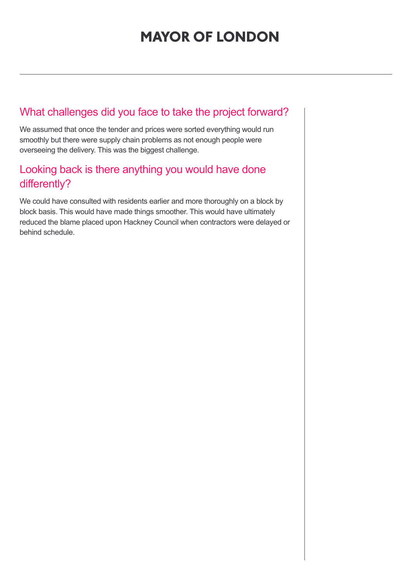# **MAYOR OF LONDON**

## What challenges did you face to take the project forward?

We assumed that once the tender and prices were sorted everything would run smoothly but there were supply chain problems as not enough people were overseeing the delivery. This was the biggest challenge.

## Looking back is there anything you would have done differently?

We could have consulted with residents earlier and more thoroughly on a block by block basis. This would have made things smoother. This would have ultimately reduced the blame placed upon Hackney Council when contractors were delayed or behind schedule.